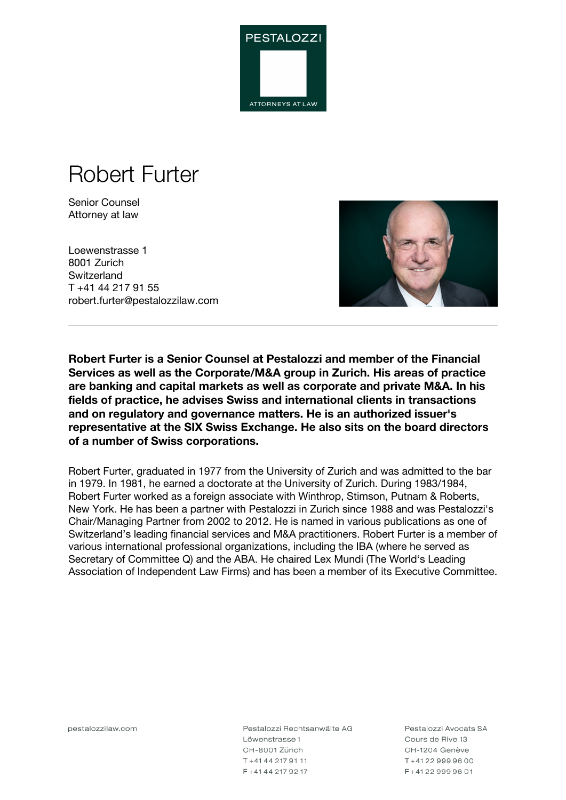

# Robert Furter

Senior Counsel Attorney at law

Loewenstrasse 1 8001 Zurich **Switzerland** T +41 44 217 91 55 robert.furter@pestalozzilaw.com



**Robert Furter is a Senior Counsel at Pestalozzi and member of the Financial Services as well as the Corporate/M&A group in Zurich. His areas of practice are banking and capital markets as well as corporate and private M&A. In his fields of practice, he advises Swiss and international clients in transactions and on regulatory and governance matters. He is an authorized issuer's representative at the SIX Swiss Exchange. He also sits on the board directors of a number of Swiss corporations.**

Robert Furter, graduated in 1977 from the University of Zurich and was admitted to the bar in 1979. In 1981, he earned a doctorate at the University of Zurich. During 1983/1984, Robert Furter worked as a foreign associate with Winthrop, Stimson, Putnam & Roberts, New York. He has been a partner with Pestalozzi in Zurich since 1988 and was Pestalozzi's Chair/Managing Partner from 2002 to 2012. He is named in various publications as one of Switzerland's leading financial services and M&A practitioners. Robert Furter is a member of various international professional organizations, including the IBA (where he served as Secretary of Committee Q) and the ABA. He chaired Lex Mundi (The World's Leading Association of Independent Law Firms) and has been a member of its Executive Committee.

pestalozzilaw.com

Pestalozzi Rechtsanwälte AG Löwenstrasse 1 CH-8001 Zürich T+41442179111 F+41442179217

Pestalozzi Avocats SA Cours de Rive 13 CH-1204 Genève T+41229999600 F+41229999601